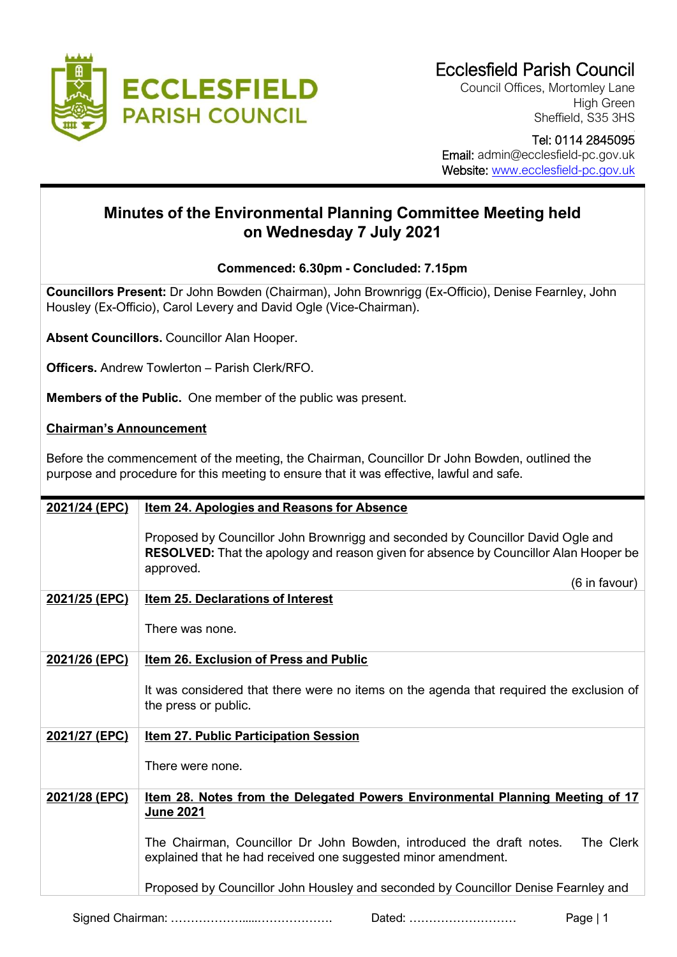

Council Offices, Mortomley Lane High Green Sheffield, S35 3HS

## Tel: 0114 2845095 Email: admin@ecclesfield-pc.gov.uk Website: [www.ecclesfield-pc.gov.uk](http://www.ecclesfield-pc.gov.uk/)

## **Minutes of the Environmental Planning Committee Meeting held on Wednesday 7 July 2021**

## **Commenced: 6.30pm - Concluded: 7.15pm**

**Councillors Present:** Dr John Bowden (Chairman), John Brownrigg (Ex-Officio), Denise Fearnley, John Housley (Ex-Officio), Carol Levery and David Ogle (Vice-Chairman).

**Absent Councillors.** Councillor Alan Hooper.

**Officers.** Andrew Towlerton – Parish Clerk/RFO.

**Members of the Public.** One member of the public was present.

## **Chairman's Announcement**

Before the commencement of the meeting, the Chairman, Councillor Dr John Bowden, outlined the purpose and procedure for this meeting to ensure that it was effective, lawful and safe.

| 2021/24 (EPC) | <b>Item 24. Apologies and Reasons for Absence</b>                                                                                                                                           |
|---------------|---------------------------------------------------------------------------------------------------------------------------------------------------------------------------------------------|
|               | Proposed by Councillor John Brownrigg and seconded by Councillor David Ogle and<br><b>RESOLVED:</b> That the apology and reason given for absence by Councillor Alan Hooper be<br>approved. |
|               | (6 in favour)                                                                                                                                                                               |
| 2021/25 (EPC) | Item 25. Declarations of Interest                                                                                                                                                           |
|               |                                                                                                                                                                                             |
|               | There was none.                                                                                                                                                                             |
| 2021/26 (EPC) | <b>Item 26. Exclusion of Press and Public</b>                                                                                                                                               |
|               |                                                                                                                                                                                             |
|               | It was considered that there were no items on the agenda that required the exclusion of                                                                                                     |
|               | the press or public.                                                                                                                                                                        |
|               |                                                                                                                                                                                             |
| 2021/27 (EPC) | <b>Item 27. Public Participation Session</b>                                                                                                                                                |
|               | There were none.                                                                                                                                                                            |
|               |                                                                                                                                                                                             |
| 2021/28 (EPC) | <u>Item 28. Notes from the Delegated Powers Environmental Planning Meeting of 17</u>                                                                                                        |
|               | June 2021                                                                                                                                                                                   |
|               |                                                                                                                                                                                             |
|               | The Clerk<br>The Chairman, Councillor Dr John Bowden, introduced the draft notes.                                                                                                           |
|               | explained that he had received one suggested minor amendment.                                                                                                                               |
|               | Proposed by Councillor John Housley and seconded by Councillor Denise Fearnley and                                                                                                          |
|               |                                                                                                                                                                                             |
|               | Page   $1$<br>Dated:                                                                                                                                                                        |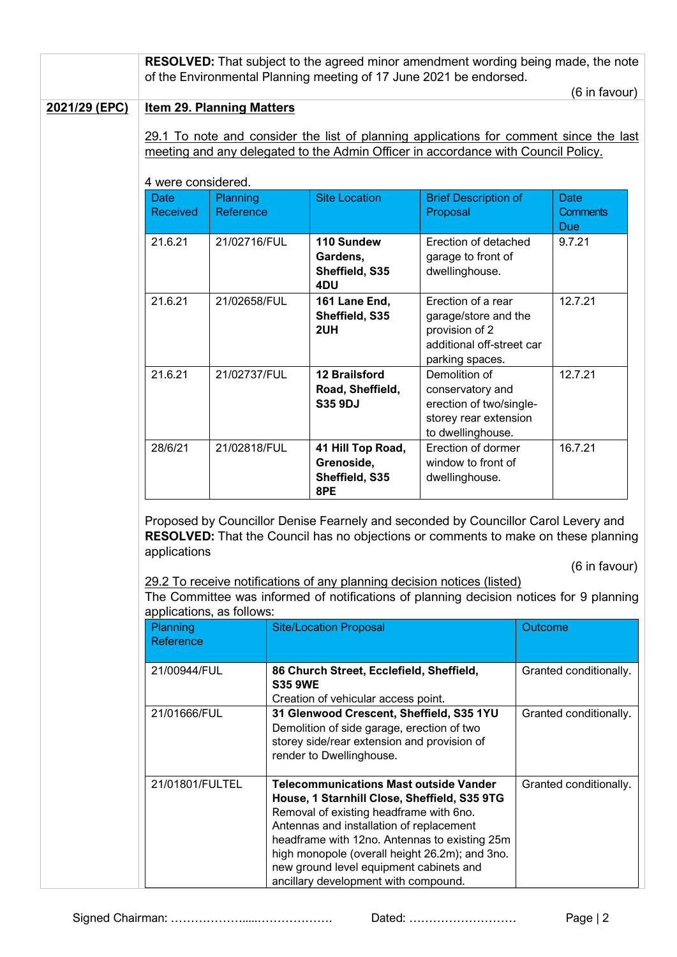|               | <b>RESOLVED:</b> That subject to the agreed minor amendment wording being made, the note<br>of the Environmental Planning meeting of 17 June 2021 be endorsed.                                                                                                                       |                       |                |                                                                                                                                                                                                                                                                                                                                                                            |                                                                                                              |                        |                                              |  |  |
|---------------|--------------------------------------------------------------------------------------------------------------------------------------------------------------------------------------------------------------------------------------------------------------------------------------|-----------------------|----------------|----------------------------------------------------------------------------------------------------------------------------------------------------------------------------------------------------------------------------------------------------------------------------------------------------------------------------------------------------------------------------|--------------------------------------------------------------------------------------------------------------|------------------------|----------------------------------------------|--|--|
|               | <b>Item 29. Planning Matters</b>                                                                                                                                                                                                                                                     |                       |                |                                                                                                                                                                                                                                                                                                                                                                            |                                                                                                              |                        | (6 in favour)                                |  |  |
| 2021/29 (EPC) | meeting and any delegated to the Admin Officer in accordance with Council Policy.                                                                                                                                                                                                    |                       |                | 29.1 To note and consider the list of planning applications for comment since the last                                                                                                                                                                                                                                                                                     |                                                                                                              |                        |                                              |  |  |
|               | 4 were considered.                                                                                                                                                                                                                                                                   |                       |                |                                                                                                                                                                                                                                                                                                                                                                            |                                                                                                              |                        |                                              |  |  |
|               | <b>Date</b><br><b>Received</b>                                                                                                                                                                                                                                                       | Planning<br>Reference |                | <b>Site Location</b>                                                                                                                                                                                                                                                                                                                                                       | <b>Brief Description of</b><br>Proposal                                                                      |                        | <b>Date</b><br><b>Comments</b><br><b>Due</b> |  |  |
|               | 21.6.21                                                                                                                                                                                                                                                                              | 21/02716/FUL          |                | 110 Sundew<br>Gardens,<br>Sheffield, S35<br>4DU                                                                                                                                                                                                                                                                                                                            | Erection of detached<br>garage to front of<br>dwellinghouse.                                                 |                        | 9.7.21                                       |  |  |
|               | 21.6.21                                                                                                                                                                                                                                                                              | 21/02658/FUL          |                | 161 Lane End.<br>Sheffield, S35<br>2UH                                                                                                                                                                                                                                                                                                                                     | Erection of a rear<br>garage/store and the<br>provision of 2<br>additional off-street car<br>parking spaces. |                        | 12.7.21                                      |  |  |
|               | 21.6.21                                                                                                                                                                                                                                                                              | 21/02737/FUL          |                | <b>12 Brailsford</b><br>Road, Sheffield,<br><b>S35 9DJ</b>                                                                                                                                                                                                                                                                                                                 | Demolition of<br>conservatory and<br>erection of two/single-<br>storey rear extension<br>to dwellinghouse.   |                        | 12.7.21                                      |  |  |
|               | 28/6/21                                                                                                                                                                                                                                                                              | 21/02818/FUL          |                | 41 Hill Top Road,<br>Grenoside,<br>Sheffield, S35<br>8PE                                                                                                                                                                                                                                                                                                                   | Erection of dormer<br>window to front of<br>dwellinghouse.                                                   |                        | 16.7.21                                      |  |  |
|               | Proposed by Councillor Denise Fearnely and seconded by Councillor Carol Levery and<br>RESOLVED: That the Council has no objections or comments to make on these planning<br>applications<br>(6 in favour)<br>29.2 To receive notifications of any planning decision notices (listed) |                       |                |                                                                                                                                                                                                                                                                                                                                                                            |                                                                                                              |                        |                                              |  |  |
|               | applications, as follows:                                                                                                                                                                                                                                                            |                       |                | The Committee was informed of notifications of planning decision notices for 9 planning                                                                                                                                                                                                                                                                                    |                                                                                                              |                        |                                              |  |  |
|               | Planning<br>Reference                                                                                                                                                                                                                                                                |                       |                | <b>Site/Location Proposal</b>                                                                                                                                                                                                                                                                                                                                              |                                                                                                              | Outcome                |                                              |  |  |
|               | 21/00944/FUL                                                                                                                                                                                                                                                                         |                       | <b>S35 9WE</b> | 86 Church Street, Ecclefield, Sheffield,<br>Creation of vehicular access point.                                                                                                                                                                                                                                                                                            |                                                                                                              |                        | Granted conditionally.                       |  |  |
|               | 21/01666/FUL                                                                                                                                                                                                                                                                         |                       |                | 31 Glenwood Crescent, Sheffield, S35 1YU<br>Demolition of side garage, erection of two<br>storey side/rear extension and provision of<br>render to Dwellinghouse.                                                                                                                                                                                                          |                                                                                                              | Granted conditionally. |                                              |  |  |
|               | 21/01801/FULTEL                                                                                                                                                                                                                                                                      |                       |                | <b>Telecommunications Mast outside Vander</b><br>House, 1 Starnhill Close, Sheffield, S35 9TG<br>Removal of existing headframe with 6no.<br>Antennas and installation of replacement<br>headframe with 12no. Antennas to existing 25m<br>high monopole (overall height 26.2m); and 3no.<br>new ground level equipment cabinets and<br>ancillary development with compound. |                                                                                                              |                        | Granted conditionally.                       |  |  |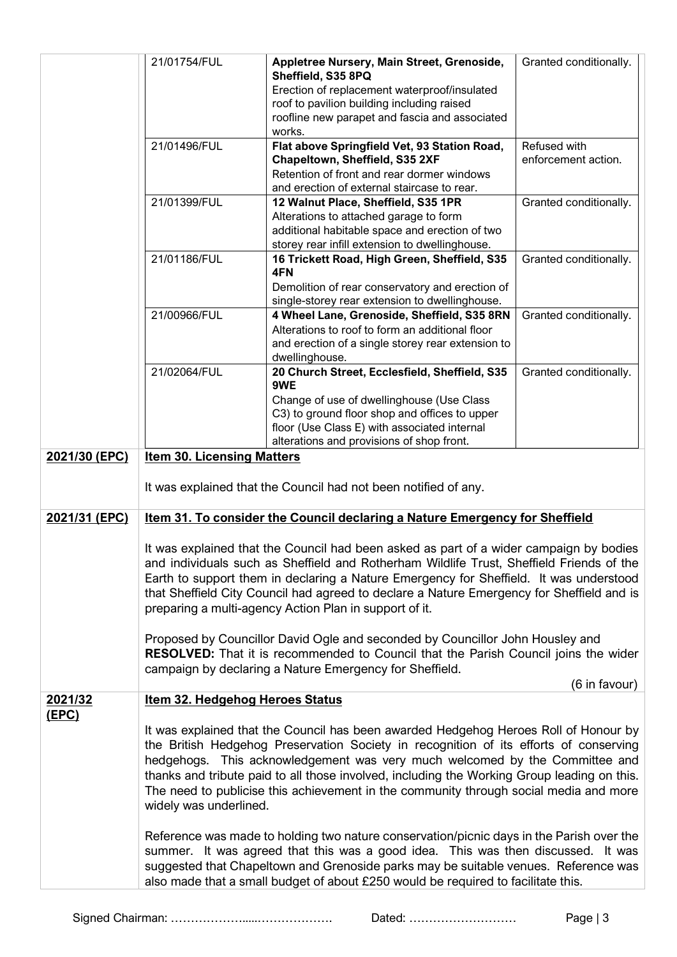|               | 21/01754/FUL                                                                                                                                                                                                                                                                                                                                                                                                                                                                                                                                                                                                                                                                                   | Appletree Nursery, Main Street, Grenoside,<br>Sheffield, S35 8PQ<br>Erection of replacement waterproof/insulated<br>roof to pavilion building including raised<br>roofline new parapet and fascia and associated<br>works.                                                                                                                                                                                                                                                                                                                                                                                                                                                                                                                                                                                       | Granted conditionally.              |  |  |
|---------------|------------------------------------------------------------------------------------------------------------------------------------------------------------------------------------------------------------------------------------------------------------------------------------------------------------------------------------------------------------------------------------------------------------------------------------------------------------------------------------------------------------------------------------------------------------------------------------------------------------------------------------------------------------------------------------------------|------------------------------------------------------------------------------------------------------------------------------------------------------------------------------------------------------------------------------------------------------------------------------------------------------------------------------------------------------------------------------------------------------------------------------------------------------------------------------------------------------------------------------------------------------------------------------------------------------------------------------------------------------------------------------------------------------------------------------------------------------------------------------------------------------------------|-------------------------------------|--|--|
|               | 21/01496/FUL                                                                                                                                                                                                                                                                                                                                                                                                                                                                                                                                                                                                                                                                                   | Flat above Springfield Vet, 93 Station Road,<br>Chapeltown, Sheffield, S35 2XF<br>Retention of front and rear dormer windows<br>and erection of external staircase to rear.                                                                                                                                                                                                                                                                                                                                                                                                                                                                                                                                                                                                                                      | Refused with<br>enforcement action. |  |  |
|               | 21/01399/FUL                                                                                                                                                                                                                                                                                                                                                                                                                                                                                                                                                                                                                                                                                   | 12 Walnut Place, Sheffield, S35 1PR<br>Alterations to attached garage to form<br>additional habitable space and erection of two<br>storey rear infill extension to dwellinghouse.                                                                                                                                                                                                                                                                                                                                                                                                                                                                                                                                                                                                                                | Granted conditionally.              |  |  |
|               | 21/01186/FUL                                                                                                                                                                                                                                                                                                                                                                                                                                                                                                                                                                                                                                                                                   | 16 Trickett Road, High Green, Sheffield, S35<br>4FN<br>Demolition of rear conservatory and erection of<br>single-storey rear extension to dwellinghouse.                                                                                                                                                                                                                                                                                                                                                                                                                                                                                                                                                                                                                                                         | Granted conditionally.              |  |  |
|               | 21/00966/FUL                                                                                                                                                                                                                                                                                                                                                                                                                                                                                                                                                                                                                                                                                   | 4 Wheel Lane, Grenoside, Sheffield, S35 8RN<br>Alterations to roof to form an additional floor<br>and erection of a single storey rear extension to<br>dwellinghouse.                                                                                                                                                                                                                                                                                                                                                                                                                                                                                                                                                                                                                                            | Granted conditionally.              |  |  |
|               | 21/02064/FUL                                                                                                                                                                                                                                                                                                                                                                                                                                                                                                                                                                                                                                                                                   | 20 Church Street, Ecclesfield, Sheffield, S35<br>9WE<br>Change of use of dwellinghouse (Use Class<br>C3) to ground floor shop and offices to upper<br>floor (Use Class E) with associated internal<br>alterations and provisions of shop front.                                                                                                                                                                                                                                                                                                                                                                                                                                                                                                                                                                  | Granted conditionally.              |  |  |
| 2021/30 (EPC) | <b>Item 30. Licensing Matters</b>                                                                                                                                                                                                                                                                                                                                                                                                                                                                                                                                                                                                                                                              | It was explained that the Council had not been notified of any.                                                                                                                                                                                                                                                                                                                                                                                                                                                                                                                                                                                                                                                                                                                                                  |                                     |  |  |
| 2021/31 (EPC) |                                                                                                                                                                                                                                                                                                                                                                                                                                                                                                                                                                                                                                                                                                | Item 31. To consider the Council declaring a Nature Emergency for Sheffield                                                                                                                                                                                                                                                                                                                                                                                                                                                                                                                                                                                                                                                                                                                                      |                                     |  |  |
|               | It was explained that the Council had been asked as part of a wider campaign by bodies<br>and individuals such as Sheffield and Rotherham Wildlife Trust, Sheffield Friends of the<br>Earth to support them in declaring a Nature Emergency for Sheffield. It was understood<br>that Sheffield City Council had agreed to declare a Nature Emergency for Sheffield and is<br>preparing a multi-agency Action Plan in support of it.<br>Proposed by Councillor David Ogle and seconded by Councillor John Housley and<br><b>RESOLVED:</b> That it is recommended to Council that the Parish Council joins the wider<br>campaign by declaring a Nature Emergency for Sheffield.<br>(6 in favour) |                                                                                                                                                                                                                                                                                                                                                                                                                                                                                                                                                                                                                                                                                                                                                                                                                  |                                     |  |  |
| 2021/32       | <b>Item 32. Hedgehog Heroes Status</b>                                                                                                                                                                                                                                                                                                                                                                                                                                                                                                                                                                                                                                                         |                                                                                                                                                                                                                                                                                                                                                                                                                                                                                                                                                                                                                                                                                                                                                                                                                  |                                     |  |  |
| <u>(EPC)</u>  | widely was underlined.                                                                                                                                                                                                                                                                                                                                                                                                                                                                                                                                                                                                                                                                         | It was explained that the Council has been awarded Hedgehog Heroes Roll of Honour by<br>the British Hedgehog Preservation Society in recognition of its efforts of conserving<br>hedgehogs. This acknowledgement was very much welcomed by the Committee and<br>thanks and tribute paid to all those involved, including the Working Group leading on this.<br>The need to publicise this achievement in the community through social media and more<br>Reference was made to holding two nature conservation/picnic days in the Parish over the<br>summer. It was agreed that this was a good idea. This was then discussed. It was<br>suggested that Chapeltown and Grenoside parks may be suitable venues. Reference was<br>also made that a small budget of about £250 would be required to facilitate this. |                                     |  |  |